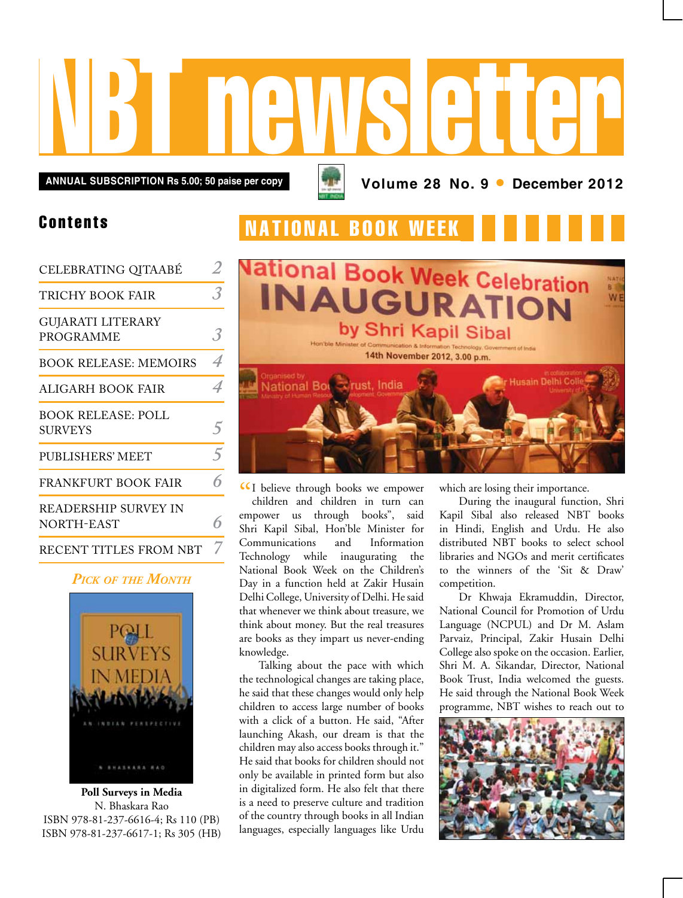

### Contents

| CELEBRATING QITAABÉ                          |                |
|----------------------------------------------|----------------|
| TRICHY BOOK FAIR                             | 3              |
| <b>GUJARATI LITERARY</b><br><b>PROGRAMME</b> |                |
| <b>BOOK RELEASE: MEMOIRS</b>                 | $\overline{A}$ |
| ALIGARH BOOK FAIR                            | 4              |
| <b>BOOK RELEASE: POLL</b><br><b>SURVEYS</b>  | $\overline{5}$ |
| <b>PUBLISHERS' MEET</b>                      | $\overline{5}$ |
| FRANKFURT BOOK FAIR                          |                |
| READERSHIP SURVEY IN<br>NORTH-EAST           |                |
| RECENT TITLES FROM NBT                       |                |

### *Pick of the Month*



**Poll Surveys in Media** N. Bhaskara Rao ISBN 978-81-237-6616-4; Rs 110 (PB) ISBN 978-81-237-6617-1; Rs 305 (HB)

## **NATIONAL BOOK WEEK**



CI believe through books we empower<br>
children and children in turn can children and children in turn can empower us through books", said Shri Kapil Sibal, Hon'ble Minister for Communications and Information Technology while inaugurating the National Book Week on the Children's Day in a function held at Zakir Husain Delhi College, University of Delhi. He said that whenever we think about treasure, we think about money. But the real treasures are books as they impart us never-ending knowledge.

Talking about the pace with which the technological changes are taking place, he said that these changes would only help children to access large number of books with a click of a button. He said, "After launching Akash, our dream is that the children may also access books through it." He said that books for children should not only be available in printed form but also in digitalized form. He also felt that there is a need to preserve culture and tradition of the country through books in all Indian languages, especially languages like Urdu

which are losing their importance.

During the inaugural function, Shri Kapil Sibal also released NBT books in Hindi, English and Urdu. He also distributed NBT books to select school libraries and NGOs and merit certificates to the winners of the 'Sit & Draw' competition.

Dr Khwaja Ekramuddin, Director, National Council for Promotion of Urdu Language (NCPUL) and Dr M. Aslam Parvaiz, Principal, Zakir Husain Delhi College also spoke on the occasion. Earlier, Shri M. A. Sikandar, Director, National Book Trust, India welcomed the guests. He said through the National Book Week programme, NBT wishes to reach out to

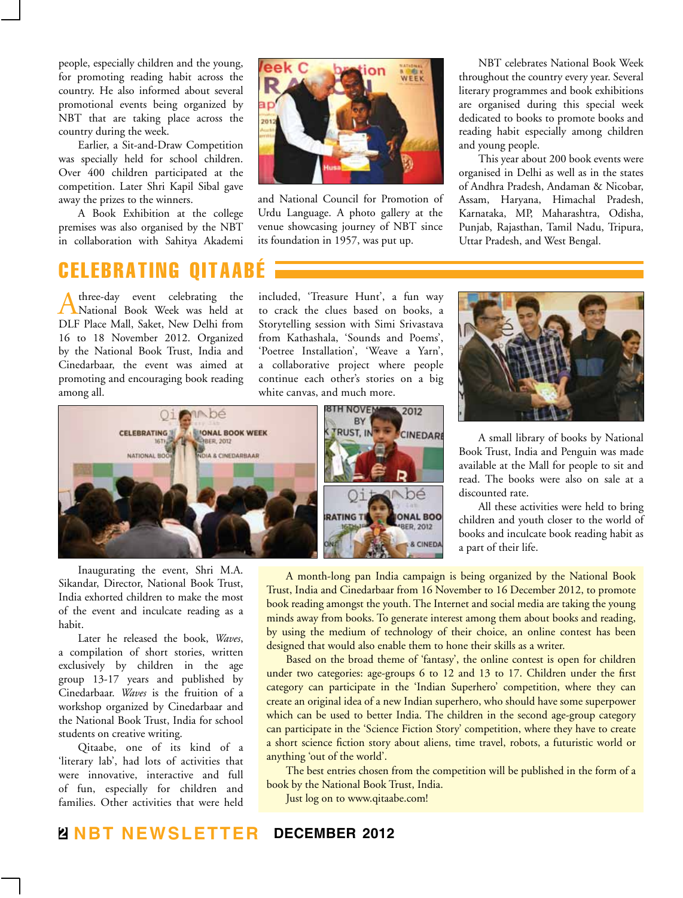people, especially children and the young, for promoting reading habit across the country. He also informed about several promotional events being organized by NBT that are taking place across the country during the week.

Earlier, a Sit-and-Draw Competition was specially held for school children. Over 400 children participated at the competition. Later Shri Kapil Sibal gave away the prizes to the winners.

A Book Exhibition at the college premises was also organised by the NBT in collaboration with Sahitya Akademi

## celebrati

A three-day event celebrating the National Book Week was held at DLF Place Mall, Saket, New Delhi from 16 to 18 November 2012. Organized by the National Book Trust, India and Cinedarbaar, the event was aimed at promoting and encouraging book reading among all.

eek C WEEK  $201$ 

and National Council for Promotion of Urdu Language. A photo gallery at the venue showcasing journey of NBT since its foundation in 1957, was put up.

NBT celebrates National Book Week throughout the country every year. Several literary programmes and book exhibitions are organised during this special week dedicated to books to promote books and reading habit especially among children and young people.

This year about 200 book events were organised in Delhi as well as in the states of Andhra Pradesh, Andaman & Nicobar, Assam, Haryana, Himachal Pradesh, Karnataka, MP, Maharashtra, Odisha, Punjab, Rajasthan, Tamil Nadu, Tripura, Uttar Pradesh, and West Bengal.

included, 'Treasure Hunt', a fun way to crack the clues based on books, a Storytelling session with Simi Srivastava from Kathashala, 'Sounds and Poems', 'Poetree Installation', 'Weave a Yarn', a collaborative project where people continue each other's stories on a big white canvas, and much more.



Inaugurating the event, Shri M.A. Sikandar, Director, National Book Trust, India exhorted children to make the most of the event and inculcate reading as a habit.

Later he released the book, *Waves*, a compilation of short stories, written exclusively by children in the age group 13-17 years and published by Cinedarbaar. *Waves* is the fruition of a workshop organized by Cinedarbaar and the National Book Trust, India for school students on creative writing.

Qitaabe, one of its kind of a 'literary lab', had lots of activities that were innovative, interactive and full of fun, especially for children and families. Other activities that were held



A small library of books by National Book Trust, India and Penguin was made available at the Mall for people to sit and read. The books were also on sale at a discounted rate.

All these activities were held to bring children and youth closer to the world of books and inculcate book reading habit as a part of their life.

A month-long pan India campaign is being organized by the National Book Trust, India and Cinedarbaar from 16 November to 16 December 2012, to promote book reading amongst the youth. The Internet and social media are taking the young minds away from books. To generate interest among them about books and reading, by using the medium of technology of their choice, an online contest has been designed that would also enable them to hone their skills as a writer.

Based on the broad theme of 'fantasy', the online contest is open for children under two categories: age-groups 6 to 12 and 13 to 17. Children under the first category can participate in the 'Indian Superhero' competition, where they can create an original idea of a new Indian superhero, who should have some superpower which can be used to better India. The children in the second age-group category can participate in the 'Science Fiction Story' competition, where they have to create a short science fiction story about aliens, time travel, robots, a futuristic world or anything 'out of the world'.

The best entries chosen from the competition will be published in the form of a book by the National Book Trust, India.

Just log on to www.qitaabe.com!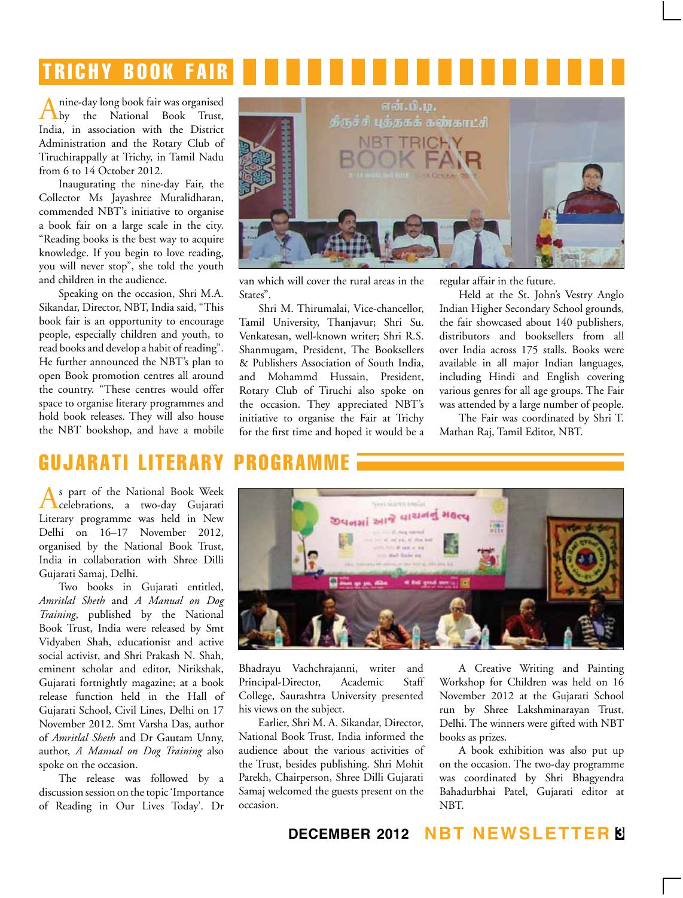# **TRICHY BOOK FAIR**

A nine-day long book fair was organised<br>by the National Book Trust, India, in association with the District Administration and the Rotary Club of Tiruchirappally at Trichy, in Tamil Nadu from 6 to 14 October 2012.

Inaugurating the nine-day Fair, the Collector Ms Jayashree Muralidharan, commended NBT's initiative to organise a book fair on a large scale in the city. "Reading books is the best way to acquire knowledge. If you begin to love reading, you will never stop", she told the youth and children in the audience.

Speaking on the occasion, Shri M.A. Sikandar, Director, NBT, India said, "This book fair is an opportunity to encourage people, especially children and youth, to read books and develop a habit of reading". He further announced the NBT's plan to open Book promotion centres all around the country. "These centres would offer space to organise literary programmes and hold book releases. They will also house the NBT bookshop, and have a mobile



van which will cover the rural areas in the States".

Shri M. Thirumalai, Vice-chancellor, Tamil University, Thanjavur; Shri Su. Venkatesan, well-known writer; Shri R.S. Shanmugam, President, The Booksellers & Publishers Association of South India, and Mohammd Hussain, President, Rotary Club of Tiruchi also spoke on the occasion. They appreciated NBT's initiative to organise the Fair at Trichy for the first time and hoped it would be a

regular affair in the future.

Held at the St. John's Vestry Anglo Indian Higher Secondary School grounds, the fair showcased about 140 publishers, distributors and booksellers from all over India across 175 stalls. Books were available in all major Indian languages, including Hindi and English covering various genres for all age groups. The Fair was attended by a large number of people.

The Fair was coordinated by Shri T. Mathan Raj, Tamil Editor, NBT.

## gujarati literary programme

As part of the National Book Week celebrations, a two-day Gujarati Literary programme was held in New Delhi on 16–17 November 2012, organised by the National Book Trust, India in collaboration with Shree Dilli Gujarati Samaj, Delhi.

Two books in Gujarati entitled, *Amritlal Sheth* and *A Manual on Dog Training*, published by the National Book Trust, India were released by Smt Vidyaben Shah, educationist and active social activist, and Shri Prakash N. Shah, eminent scholar and editor, Nirikshak, Gujarati fortnightly magazine; at a book release function held in the Hall of Gujarati School, Civil Lines, Delhi on 17 November 2012. Smt Varsha Das, author of *Amritlal Sheth* and Dr Gautam Unny, author, *A Manual on Dog Training* also spoke on the occasion.

The release was followed by a discussion session on the topic 'Importance of Reading in Our Lives Today'. Dr



Bhadrayu Vachchrajanni, writer and Principal-Director, Academic Staff College, Saurashtra University presented his views on the subject.

Earlier, Shri M. A. Sikandar, Director, National Book Trust, India informed the audience about the various activities of the Trust, besides publishing. Shri Mohit Parekh, Chairperson, Shree Dilli Gujarati Samaj welcomed the guests present on the occasion.

A Creative Writing and Painting Workshop for Children was held on 16 November 2012 at the Gujarati School run by Shree Lakshminarayan Trust, Delhi. The winners were gifted with NBT books as prizes.

A book exhibition was also put up on the occasion. The two-day programme was coordinated by Shri Bhagyendra Bahadurbhai Patel, Gujarati editor at NBT.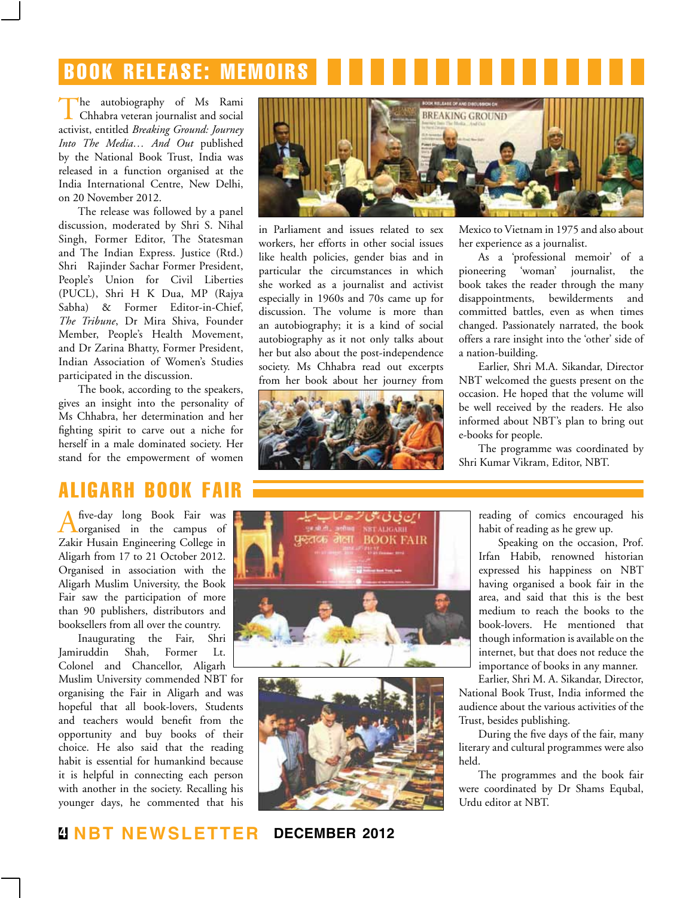# Book release: memoirs

The autobiography of Ms Rami<br>Chhabra veteran journalist and social activist, entitled *Breaking Ground: Journey Into The Media… And Out* published by the National Book Trust, India was released in a function organised at the India International Centre, New Delhi, on 20 November 2012.

The release was followed by a panel discussion, moderated by Shri S. Nihal Singh, Former Editor, The Statesman and The Indian Express. Justice (Rtd.) Shri Rajinder Sachar Former President, People's Union for Civil Liberties (PUCL), Shri H K Dua, MP (Rajya Sabha) & Former Editor-in-Chief, *The Tribune*, Dr Mira Shiva, Founder Member, People's Health Movement, and Dr Zarina Bhatty, Former President, Indian Association of Women's Studies participated in the discussion.

The book, according to the speakers, gives an insight into the personality of Ms Chhabra, her determination and her fighting spirit to carve out a niche for herself in a male dominated society. Her stand for the empowerment of women

## aligarh book fair

A five-day long Book Fair was organised in the campus of Zakir Husain Engineering College in Aligarh from 17 to 21 October 2012. Organised in association with the Aligarh Muslim University, the Book Fair saw the participation of more than 90 publishers, distributors and booksellers from all over the country.

Inaugurating the Fair, Shri Jamiruddin Shah, Former Lt. Colonel and Chancellor, Aligarh Muslim University commended NBT for organising the Fair in Aligarh and was hopeful that all book-lovers, Students and teachers would benefit from the opportunity and buy books of their choice. He also said that the reading habit is essential for humankind because it is helpful in connecting each person with another in the society. Recalling his younger days, he commented that his



in Parliament and issues related to sex workers, her efforts in other social issues like health policies, gender bias and in particular the circumstances in which she worked as a journalist and activist especially in 1960s and 70s came up for discussion. The volume is more than an autobiography; it is a kind of social autobiography as it not only talks about her but also about the post-independence society. Ms Chhabra read out excerpts from her book about her journey from



Mexico to Vietnam in 1975 and also about her experience as a journalist.

As a 'professional memoir' of a pioneering 'woman' journalist, the book takes the reader through the many disappointments, bewilderments and committed battles, even as when times changed. Passionately narrated, the book offers a rare insight into the 'other' side of a nation-building.

Earlier, Shri M.A. Sikandar, Director NBT welcomed the guests present on the occasion. He hoped that the volume will be well received by the readers. He also informed about NBT's plan to bring out e-books for people.

The programme was coordinated by Shri Kumar Vikram, Editor, NBT.





reading of comics encouraged his habit of reading as he grew up.

Speaking on the occasion, Prof. Irfan Habib, renowned historian expressed his happiness on NBT having organised a book fair in the area, and said that this is the best medium to reach the books to the book-lovers. He mentioned that though information is available on the internet, but that does not reduce the importance of books in any manner.

Earlier, Shri M. A. Sikandar, Director, National Book Trust, India informed the audience about the various activities of the Trust, besides publishing.

During the five days of the fair, many literary and cultural programmes were also held.

The programmes and the book fair were coordinated by Dr Shams Equbal, Urdu editor at NBT.

**4 NBT Newsletter december 2012**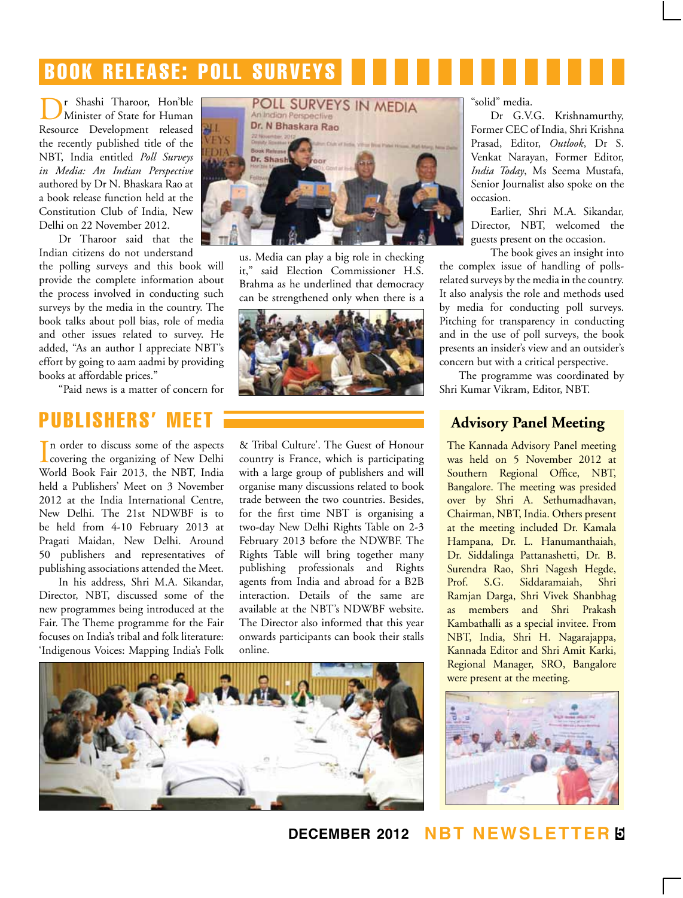# book release: poll surveys

r Shashi Tharoor, Hon'ble Minister of State for Human Resource Development released the recently published title of the NBT, India entitled *Poll Surveys in Media: An Indian Perspective*  authored by Dr N. Bhaskara Rao at a book release function held at the Constitution Club of India, New Delhi on 22 November 2012.

Dr Tharoor said that the Indian citizens do not understand

the polling surveys and this book will provide the complete information about the process involved in conducting such surveys by the media in the country. The book talks about poll bias, role of media and other issues related to survey. He added, "As an author I appreciate NBT's effort by going to aam aadmi by providing books at affordable prices."

"Paid news is a matter of concern for

## publishers' meet

In order to discuss some of the aspects<br>covering the organizing of New Delhi In order to discuss some of the aspects World Book Fair 2013, the NBT, India held a Publishers' Meet on 3 November 2012 at the India International Centre, New Delhi. The 21st NDWBF is to be held from 4-10 February 2013 at Pragati Maidan, New Delhi. Around 50 publishers and representatives of publishing associations attended the Meet.

In his address, Shri M.A. Sikandar, Director, NBT, discussed some of the new programmes being introduced at the Fair. The Theme programme for the Fair focuses on India's tribal and folk literature: 'Indigenous Voices: Mapping India's Folk



us. Media can play a big role in checking it," said Election Commissioner H.S. Brahma as he underlined that democracy can be strengthened only when there is a



& Tribal Culture'. The Guest of Honour country is France, which is participating with a large group of publishers and will organise many discussions related to book trade between the two countries. Besides, for the first time NBT is organising a two-day New Delhi Rights Table on 2-3 February 2013 before the NDWBF. The Rights Table will bring together many publishing professionals and Rights agents from India and abroad for a B2B interaction. Details of the same are available at the NBT's NDWBF website. The Director also informed that this year onwards participants can book their stalls online.



"solid" media.

Dr G.V.G. Krishnamurthy, Former CEC of India, Shri Krishna Prasad, Editor, *Outlook*, Dr S. Venkat Narayan, Former Editor, *India Today*, Ms Seema Mustafa, Senior Journalist also spoke on the occasion.

Earlier, Shri M.A. Sikandar, Director, NBT, welcomed the guests present on the occasion.

The book gives an insight into the complex issue of handling of pollsrelated surveys by the media in the country. It also analysis the role and methods used by media for conducting poll surveys. Pitching for transparency in conducting and in the use of poll surveys, the book presents an insider's view and an outsider's concern but with a critical perspective.

The programme was coordinated by Shri Kumar Vikram, Editor, NBT.

### **Advisory Panel Meeting**

The Kannada Advisory Panel meeting was held on 5 November 2012 at Southern Regional Office, NBT, Bangalore. The meeting was presided over by Shri A. Sethumadhavan, Chairman, NBT, India. Others present at the meeting included Dr. Kamala Hampana, Dr. L. Hanumanthaiah, Dr. Siddalinga Pattanashetti, Dr. B. Surendra Rao, Shri Nagesh Hegde, Prof. S.G. Siddaramaiah, Shri Ramjan Darga, Shri Vivek Shanbhag as members and Shri Prakash Kambathalli as a special invitee. From NBT, India, Shri H. Nagarajappa, Kannada Editor and Shri Amit Karki, Regional Manager, SRO, Bangalore were present at the meeting.



### **december 2012 NBT Newsletter 5**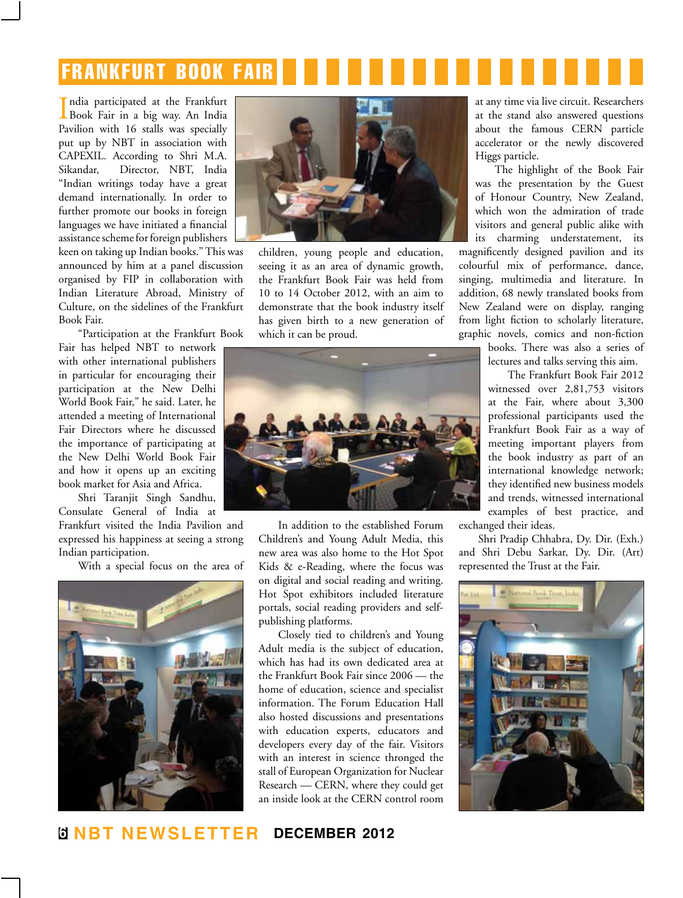# frankfurt book fair

India participated at the Frankfurt<br>Book Fair in a big way. An India ndia participated at the Frankfurt Pavilion with 16 stalls was specially put up by NBT in association with CAPEXIL. According to Shri M.A. Sikandar, Director, NBT, India "Indian writings today have a great demand internationally. In order to further promote our books in foreign languages we have initiated a financial assistance scheme for foreign publishers

keen on taking up Indian books." This was announced by him at a panel discussion organised by FIP in collaboration with Indian Literature Abroad, Ministry of Culture, on the sidelines of the Frankfurt Book Fair.

"Participation at the Frankfurt Book

Fair has helped NBT to network with other international publishers in particular for encouraging their participation at the New Delhi World Book Fair," he said. Later, he attended a meeting of International Fair Directors where he discussed the importance of participating at the New Delhi World Book Fair and how it opens up an exciting book market for Asia and Africa.

Shri Taranjit Singh Sandhu, Consulate General of India at Frankfurt visited the India Pavilion and expressed his happiness at seeing a strong Indian participation.

With a special focus on the area of





children, young people and education, seeing it as an area of dynamic growth, the Frankfurt Book Fair was held from 10 to 14 October 2012, with an aim to demonstrate that the book industry itself has given birth to a new generation of which it can be proud.



In addition to the established Forum Children's and Young Adult Media, this new area was also home to the Hot Spot Kids & e-Reading, where the focus was on digital and social reading and writing. Hot Spot exhibitors included literature portals, social reading providers and selfpublishing platforms.

Closely tied to children's and Young Adult media is the subject of education, which has had its own dedicated area at the Frankfurt Book Fair since 2006 — the home of education, science and specialist information. The Forum Education Hall also hosted discussions and presentations with education experts, educators and developers every day of the fair. Visitors with an interest in science thronged the stall of European Organization for Nuclear Research — CERN, where they could get an inside look at the CERN control room

at any time via live circuit. Researchers at the stand also answered questions about the famous CERN particle accelerator or the newly discovered Higgs particle.

The highlight of the Book Fair was the presentation by the Guest of Honour Country, New Zealand, which won the admiration of trade visitors and general public alike with its charming understatement, its

magnificently designed pavilion and its colourful mix of performance, dance, singing, multimedia and literature. In addition, 68 newly translated books from New Zealand were on display, ranging from light fiction to scholarly literature, graphic novels, comics and non-fiction

> books. There was also a series of lectures and talks serving this aim.

The Frankfurt Book Fair 2012 witnessed over 2,81,753 visitors at the Fair, where about 3,300 professional participants used the Frankfurt Book Fair as a way of meeting important players from the book industry as part of an international knowledge network; they identified new business models and trends, witnessed international examples of best practice, and exchanged their ideas.

Shri Pradip Chhabra, Dy. Dir. (Exh.) and Shri Debu Sarkar, Dy. Dir. (Art)

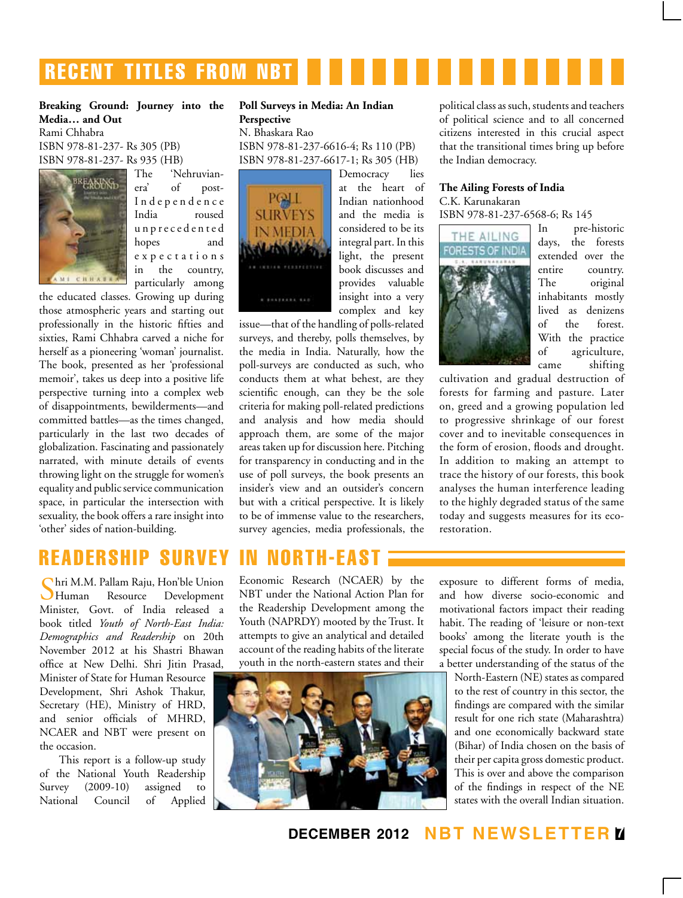## **RECENT TITLES FROM NBT**

#### **Breaking Ground: Journey into the Media… and Out** Rami Chhabra

ISBN 978-81-237- Rs 305 (PB) ISBN 978-81-237- Rs 935 (HB)

![](_page_6_Picture_3.jpeg)

The 'Nehruvianera' of post-Independence India roused u n p r e c e d e n t e d hopes and e x p e c t a t i o n s in the country, particularly among

the educated classes. Growing up during those atmospheric years and starting out professionally in the historic fifties and sixties, Rami Chhabra carved a niche for herself as a pioneering 'woman' journalist. The book, presented as her 'professional memoir', takes us deep into a positive life perspective turning into a complex web of disappointments, bewilderments—and committed battles—as the times changed, particularly in the last two decades of globalization. Fascinating and passionately narrated, with minute details of events throwing light on the struggle for women's equality and public service communication space, in particular the intersection with sexuality, the book offers a rare insight into 'other' sides of nation-building.

#### **Poll Surveys in Media: An Indian Perspective**

N. Bhaskara Rao ISBN 978-81-237-6616-4; Rs 110 (PB) ISBN 978-81-237-6617-1; Rs 305 (HB)

![](_page_6_Picture_8.jpeg)

Democracy lies at the heart of Indian nationhood and the media is considered to be its integral part. In this light, the present book discusses and provides valuable insight into a very complex and key

issue—that of the handling of polls-related surveys, and thereby, polls themselves, by the media in India. Naturally, how the poll-surveys are conducted as such, who conducts them at what behest, are they scientific enough, can they be the sole criteria for making poll-related predictions and analysis and how media should approach them, are some of the major areas taken up for discussion here. Pitching for transparency in conducting and in the use of poll surveys, the book presents an insider's view and an outsider's concern but with a critical perspective. It is likely to be of immense value to the researchers, survey agencies, media professionals, the

## Readership Survey in North-east

Shri M.M. Pallam Raju, Hon'ble Union Development Minister, Govt. of India released a book titled *Youth of North-East India: Demographics and Readership* on 20th November 2012 at his Shastri Bhawan office at New Delhi. Shri Jitin Prasad,

Minister of State for Human Resource Development, Shri Ashok Thakur, Secretary (HE), Ministry of HRD, and senior officials of MHRD, NCAER and NBT were present on the occasion.

This report is a follow-up study of the National Youth Readership Survey (2009-10) assigned to National Council of Applied

Economic Research (NCAER) by the NBT under the National Action Plan for the Readership Development among the Youth (NAPRDY) mooted by the Trust. It attempts to give an analytical and detailed account of the reading habits of the literate youth in the north-eastern states and their

![](_page_6_Picture_16.jpeg)

political class as such, students and teachers of political science and to all concerned citizens interested in this crucial aspect that the transitional times bring up before the Indian democracy.

#### **The Ailing Forests of India** C.K. Karunakaran

ISBN 978-81-237-6568-6; Rs 145

![](_page_6_Picture_20.jpeg)

In pre-historic days, the forests extended over the entire country. The original inhabitants mostly lived as denizens of the forest. With the practice of agriculture, came shifting

cultivation and gradual destruction of forests for farming and pasture. Later on, greed and a growing population led to progressive shrinkage of our forest cover and to inevitable consequences in the form of erosion, floods and drought. In addition to making an attempt to trace the history of our forests, this book analyses the human interference leading to the highly degraded status of the same today and suggests measures for its ecorestoration.

exposure to different forms of media, and how diverse socio-economic and motivational factors impact their reading habit. The reading of 'leisure or non-text books' among the literate youth is the special focus of the study. In order to have a better understanding of the status of the

North-Eastern (NE) states as compared to the rest of country in this sector, the findings are compared with the similar result for one rich state (Maharashtra) and one economically backward state (Bihar) of India chosen on the basis of their per capita gross domestic product. This is over and above the comparison of the findings in respect of the NE states with the overall Indian situation.

**december 2012 NBT Newsletter 7**